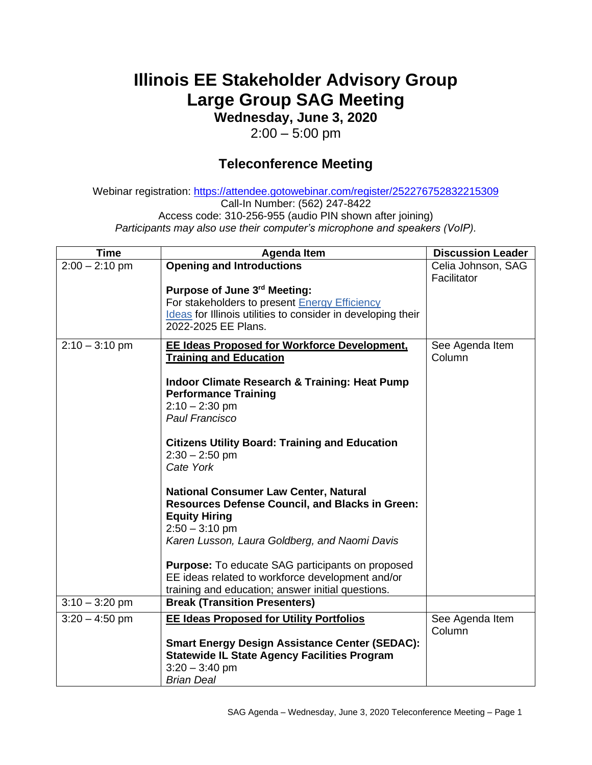## **Illinois EE Stakeholder Advisory Group Large Group SAG Meeting**

**Wednesday, June 3, 2020**

 $2:00 - 5:00$  pm

## **Teleconference Meeting**

Webinar registration: <https://attendee.gotowebinar.com/register/252276752832215309> Call-In Number: (562) 247-8422 Access code: 310-256-955 (audio PIN shown after joining) *Participants may also use their computer's microphone and speakers (VoIP).*

| <b>Time</b>      | <b>Agenda Item</b>                                                                                                                                                                                       | <b>Discussion Leader</b>          |
|------------------|----------------------------------------------------------------------------------------------------------------------------------------------------------------------------------------------------------|-----------------------------------|
| $2:00 - 2:10$ pm | <b>Opening and Introductions</b>                                                                                                                                                                         | Celia Johnson, SAG<br>Facilitator |
|                  | Purpose of June 3rd Meeting:<br>For stakeholders to present Energy Efficiency<br>Ideas for Illinois utilities to consider in developing their<br>2022-2025 EE Plans.                                     |                                   |
| $2:10 - 3:10$ pm | <b>EE Ideas Proposed for Workforce Development,</b><br><b>Training and Education</b>                                                                                                                     | See Agenda Item<br>Column         |
|                  | Indoor Climate Research & Training: Heat Pump<br><b>Performance Training</b><br>$2:10 - 2:30$ pm<br>Paul Francisco                                                                                       |                                   |
|                  | <b>Citizens Utility Board: Training and Education</b><br>$2:30 - 2:50$ pm<br>Cate York                                                                                                                   |                                   |
|                  | <b>National Consumer Law Center, Natural</b><br><b>Resources Defense Council, and Blacks in Green:</b><br><b>Equity Hiring</b><br>$2:50 - 3:10$ pm<br>Karen Lusson, Laura Goldberg, and Naomi Davis      |                                   |
|                  | <b>Purpose:</b> To educate SAG participants on proposed<br>EE ideas related to workforce development and/or<br>training and education; answer initial questions.                                         |                                   |
| $3:10 - 3:20$ pm | <b>Break (Transition Presenters)</b>                                                                                                                                                                     |                                   |
| $3:20 - 4:50$ pm | <b>EE Ideas Proposed for Utility Portfolios</b><br><b>Smart Energy Design Assistance Center (SEDAC):</b><br><b>Statewide IL State Agency Facilities Program</b><br>$3:20 - 3:40$ pm<br><b>Brian Deal</b> | See Agenda Item<br>Column         |